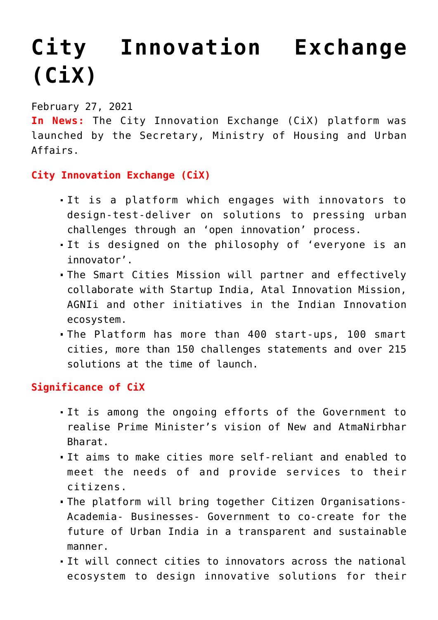## **[City Innovation Exchange](https://journalsofindia.com/city-innovation-exchange-cix/) [\(CiX\)](https://journalsofindia.com/city-innovation-exchange-cix/)**

February 27, 2021

**In News:** The City Innovation Exchange (CiX) platform was launched by the Secretary, Ministry of Housing and Urban Affairs.

## **City Innovation Exchange (CiX)**

- It is a platform which engages with innovators to design-test-deliver on solutions to pressing urban challenges through an 'open innovation' process.
- It is designed on the philosophy of 'everyone is an innovator'.
- The Smart Cities Mission will partner and effectively collaborate with Startup India, Atal Innovation Mission, AGNIi and other initiatives in the Indian Innovation ecosystem.
- The Platform has more than 400 start-ups, 100 smart cities, more than 150 challenges statements and over 215 solutions at the time of launch.

**Significance of CiX**

- It is among the ongoing efforts of the Government to realise Prime Minister's vision of New and AtmaNirbhar Bharat.
- It aims to make cities more self-reliant and enabled to meet the needs of and provide services to their citizens.
- The platform will bring together Citizen Organisations-Academia- Businesses- Government to co-create for the future of Urban India in a transparent and sustainable manner.
- It will connect cities to innovators across the national ecosystem to design innovative solutions for their